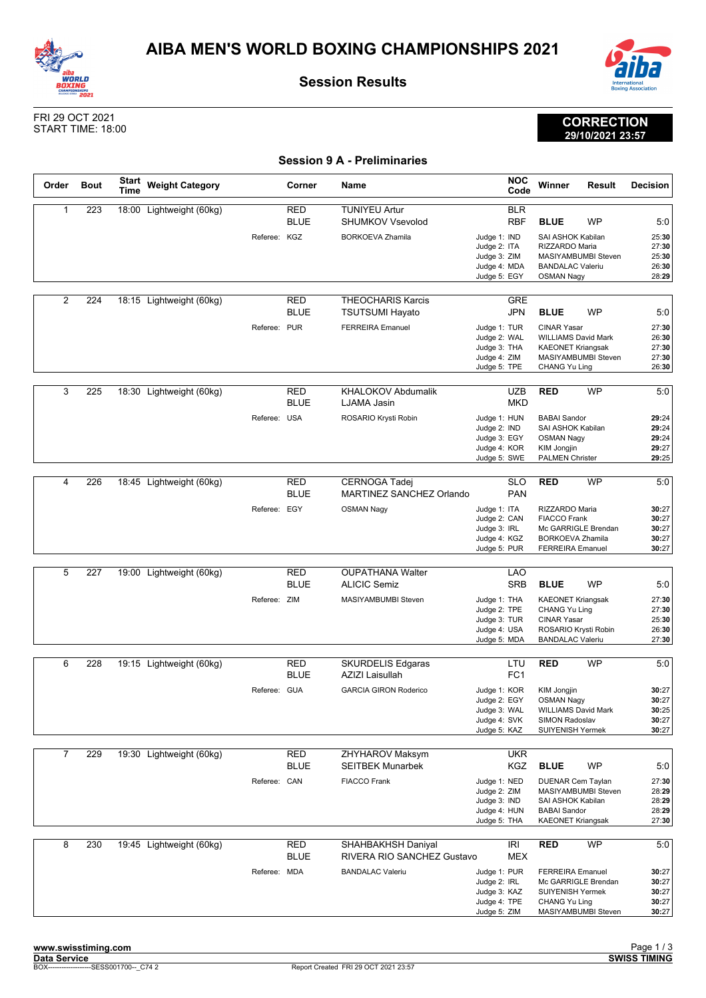



**Session Results**

**Session 9 A - Preliminaries**



**CORRECTION 29/10/2021 23:57**

## FRI 29 OCT 2021 START TIME: 18:00

| Order          | <b>Bout</b> | <b>Start</b><br><b>Time</b> | <b>Weight Category</b>   |              | Corner                    | Name                                                                               |                                                                              | <b>NOC</b><br>Code       | Winner                                                                                                                                   | Result    | Decision                                         |
|----------------|-------------|-----------------------------|--------------------------|--------------|---------------------------|------------------------------------------------------------------------------------|------------------------------------------------------------------------------|--------------------------|------------------------------------------------------------------------------------------------------------------------------------------|-----------|--------------------------------------------------|
| 1              | 223         |                             | 18:00 Lightweight (60kg) | Referee: KGZ | <b>RED</b><br><b>BLUE</b> | <b>TUNIYEU Artur</b><br><b>SHUMKOV Vsevolod</b><br><b>BORKOEVA Zhamila</b>         | Judge 1: IND<br>Judge 2: ITA<br>Judge 3: ZIM<br>Judge 4: MDA<br>Judge 5: EGY | <b>BLR</b><br><b>RBF</b> | <b>BLUE</b><br>SAI ASHOK Kabilan<br>RIZZARDO Maria<br>MASIYAMBUMBI Steven<br><b>BANDALAC Valeriu</b><br><b>OSMAN Nagy</b>                | WP        | 5:0<br>25:30<br>27:30<br>25:30<br>26:30<br>28:29 |
| $\overline{2}$ | 224         |                             | 18:15 Lightweight (60kg) | Referee: PUR | RED<br><b>BLUE</b>        | <b>THEOCHARIS Karcis</b><br><b>TSUTSUMI Hayato</b><br><b>FERREIRA Emanuel</b>      | Judge 1: TUR<br>Judge 2: WAL<br>Judge 3: THA<br>Judge 4: ZIM<br>Judge 5: TPE | <b>GRE</b><br><b>JPN</b> | <b>BLUE</b><br><b>CINAR Yasar</b><br><b>WILLIAMS David Mark</b><br><b>KAEONET Kriangsak</b><br>MASIYAMBUMBI Steven<br>CHANG Yu Ling      | <b>WP</b> | 5:0<br>27:30<br>26:30<br>27:30<br>27:30<br>26:30 |
| 3              | 225         |                             | 18:30 Lightweight (60kg) | Referee: USA | RED<br><b>BLUE</b>        | <b>KHALOKOV Abdumalik</b><br>LJAMA Jasin<br>ROSARIO Krysti Robin                   | Judge 1: HUN<br>Judge 2: IND<br>Judge 3: EGY<br>Judge 4: KOR<br>Judge 5: SWE | <b>UZB</b><br><b>MKD</b> | <b>RED</b><br><b>BABAI</b> Sandor<br>SAI ASHOK Kabilan<br><b>OSMAN Nagy</b><br><b>KIM Jongjin</b><br><b>PALMEN Christer</b>              | <b>WP</b> | 5:0<br>29:24<br>29:24<br>29:24<br>29:27<br>29:25 |
| 4              | 226         |                             | 18:45 Lightweight (60kg) | Referee: EGY | RED<br><b>BLUE</b>        | <b>CERNOGA Tadej</b><br>MARTINEZ SANCHEZ Orlando<br><b>OSMAN Nagy</b>              | Judge 1: ITA<br>Judge 2: CAN<br>Judge 3: IRL<br>Judge 4: KGZ<br>Judge 5: PUR | <b>SLO</b><br><b>PAN</b> | <b>RED</b><br>RIZZARDO Maria<br><b>FIACCO Frank</b><br>Mc GARRIGLE Brendan<br><b>BORKOEVA Zhamila</b><br><b>FERREIRA Emanuel</b>         | <b>WP</b> | 5:0<br>30:27<br>30:27<br>30:27<br>30:27<br>30:27 |
| 5              | 227         |                             | 19:00 Lightweight (60kg) | Referee: ZIM | <b>RED</b><br><b>BLUE</b> | <b>OUPATHANA Walter</b><br><b>ALICIC Semiz</b><br>MASIYAMBUMBI Steven              | Judge 1: THA<br>Judge 2: TPE<br>Judge 3: TUR<br>Judge 4: USA<br>Judge 5: MDA | <b>LAO</b><br><b>SRB</b> | <b>BLUE</b><br><b>KAEONET Kriangsak</b><br><b>CHANG Yu Ling</b><br><b>CINAR Yasar</b><br>ROSARIO Krysti Robin<br><b>BANDALAC Valeriu</b> | <b>WP</b> | 5:0<br>27:30<br>27:30<br>25:30<br>26:30<br>27:30 |
| 6              | 228         |                             | 19:15 Lightweight (60kg) | Referee: GUA | RED<br><b>BLUE</b>        | <b>SKURDELIS Edgaras</b><br><b>AZIZI Laisullah</b><br><b>GARCIA GIRON Roderico</b> | Judge 1: KOR<br>Judge 2: EGY<br>Judge 3: WAL<br>Judge 4: SVK<br>Judge 5: KAZ | LTU<br>FC <sub>1</sub>   | <b>RED</b><br><b>KIM Jongjin</b><br><b>OSMAN Nagy</b><br><b>WILLIAMS David Mark</b><br>SIMON Radoslav<br><b>SUIYENISH Yermek</b>         | WP        | 5:0<br>30:27<br>30:27<br>30:25<br>30:27<br>30:27 |
| 7              | 229         |                             | 19:30 Lightweight (60kg) | Referee: CAN | <b>RED</b><br><b>BLUE</b> | ZHYHAROV Maksym<br><b>SEITBEK Munarbek</b><br><b>FIACCO Frank</b>                  | Judge 1: NED<br>Judge 2: ZIM<br>Judge 3: IND<br>Judge 4: HUN<br>Judge 5: THA | <b>UKR</b><br>KGZ        | <b>BLUE</b><br><b>DUENAR Cem Taylan</b><br>MASIYAMBUMBI Steven<br>SAI ASHOK Kabilan<br><b>BABAI Sandor</b><br><b>KAEONET Kriangsak</b>   | WP        | 5:0<br>27:30<br>28:29<br>28:29<br>28:29<br>27:30 |
| 8              | 230         |                             | 19:45 Lightweight (60kg) | Referee: MDA | RED<br><b>BLUE</b>        | SHAHBAKHSH Daniyal<br>RIVERA RIO SANCHEZ Gustavo<br><b>BANDALAC Valeriu</b>        | Judge 1: PUR<br>Judge 2: IRL<br>Judge 3: KAZ<br>Judge 4: TPE<br>Judge 5: ZIM | IRI<br><b>MEX</b>        | <b>RED</b><br><b>FERREIRA Emanuel</b><br>Mc GARRIGLE Brendan<br>SUIYENISH Yermek<br>CHANG Yu Ling<br>MASIYAMBUMBI Steven                 | WP        | 5:0<br>30:27<br>30:27<br>30:27<br>30:27<br>30:27 |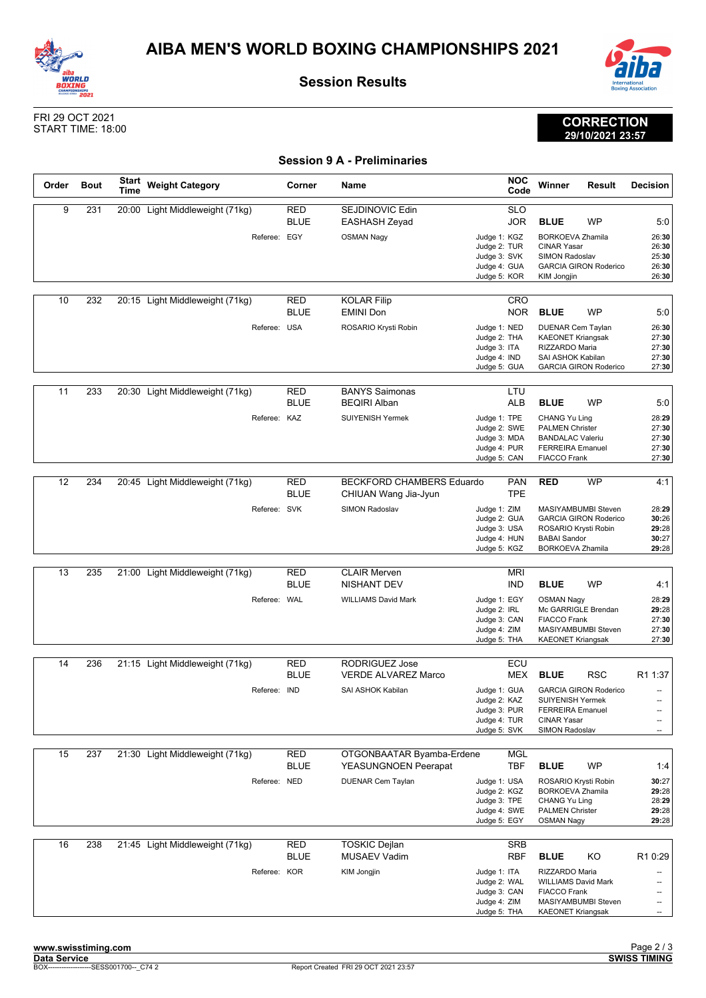



**Session Results**

**Session 9 A - Preliminaries**



**CORRECTION 29/10/2021 23:57**

## FRI 29 OCT 2021 START TIME: 18:00

| Order | <b>Bout</b> | <b>Start</b><br>Time | <b>Weight Category</b>          | Corner                    | Name                                              |                                                                              | <b>NOC</b><br>Code       | Winner                                                                                                                                | <b>Result</b>                | Decision                                  |
|-------|-------------|----------------------|---------------------------------|---------------------------|---------------------------------------------------|------------------------------------------------------------------------------|--------------------------|---------------------------------------------------------------------------------------------------------------------------------------|------------------------------|-------------------------------------------|
| 9     | 231         |                      | 20:00 Light Middleweight (71kg) | RED<br><b>BLUE</b>        | SEJDINOVIC Edin<br>EASHASH Zeyad                  |                                                                              | <b>SLO</b><br><b>JOR</b> | <b>BLUE</b>                                                                                                                           | <b>WP</b>                    | 5:0                                       |
|       |             |                      | Referee: EGY                    |                           | <b>OSMAN Nagy</b>                                 | Judge 1: KGZ<br>Judge 2: TUR<br>Judge 3: SVK<br>Judge 4: GUA                 |                          | <b>BORKOEVA Zhamila</b><br><b>CINAR Yasar</b><br>SIMON Radoslav                                                                       | <b>GARCIA GIRON Roderico</b> | 26:30<br>26:30<br>25:30<br>26:30          |
|       |             |                      |                                 |                           |                                                   | Judge 5: KOR                                                                 |                          | KIM Jongjin                                                                                                                           |                              | 26:30                                     |
| 10    | 232         |                      | 20:15 Light Middleweight (71kg) | <b>RED</b><br><b>BLUE</b> | <b>KOLAR Filip</b><br><b>EMINI Don</b>            |                                                                              | <b>CRO</b><br><b>NOR</b> | <b>BLUE</b>                                                                                                                           | <b>WP</b>                    | 5:0                                       |
|       |             |                      | Referee: USA                    |                           | ROSARIO Krysti Robin                              | Judge 1: NED<br>Judge 2: THA<br>Judge 3: ITA<br>Judge 4: IND<br>Judge 5: GUA |                          | <b>DUENAR Cem Taylan</b><br><b>KAEONET Kriangsak</b><br>RIZZARDO Maria<br>SAI ASHOK Kabilan                                           | <b>GARCIA GIRON Roderico</b> | 26:30<br>27:30<br>27:30<br>27:30<br>27:30 |
|       |             |                      |                                 |                           |                                                   |                                                                              |                          |                                                                                                                                       |                              |                                           |
| 11    | 233         |                      | 20:30 Light Middleweight (71kg) | <b>RED</b><br><b>BLUE</b> | <b>BANYS Saimonas</b><br><b>BEQIRI Alban</b>      |                                                                              | LTU<br><b>ALB</b>        | <b>BLUE</b>                                                                                                                           | <b>WP</b>                    | 5:0                                       |
|       |             |                      | Referee: KAZ                    |                           | <b>SUIYENISH Yermek</b>                           | Judge 1: TPE<br>Judge 2: SWE<br>Judge 3: MDA<br>Judge 4: PUR<br>Judge 5: CAN |                          | CHANG Yu Ling<br><b>PALMEN Christer</b><br><b>BANDALAC Valeriu</b><br><b>FERREIRA</b> Emanuel<br><b>FIACCO Frank</b>                  |                              | 28:29<br>27:30<br>27:30<br>27:30<br>27:30 |
|       |             |                      |                                 |                           |                                                   |                                                                              |                          |                                                                                                                                       |                              |                                           |
| 12    | 234         |                      | 20:45 Light Middleweight (71kg) | RED<br><b>BLUE</b>        | BECKFORD CHAMBERS Eduardo<br>CHIUAN Wang Jia-Jyun |                                                                              | <b>PAN</b><br><b>TPE</b> | <b>RED</b>                                                                                                                            | <b>WP</b>                    | 4:1                                       |
|       |             |                      | Referee: SVK                    |                           | SIMON Radoslav                                    | Judge 1: ZIM<br>Judge 2: GUA<br>Judge 3: USA<br>Judge 4: HUN<br>Judge 5: KGZ |                          | <b>MASIYAMBUMBI Steven</b><br>ROSARIO Krysti Robin<br><b>BABAI Sandor</b><br><b>BORKOEVA Zhamila</b>                                  | <b>GARCIA GIRON Roderico</b> | 28:29<br>30:26<br>29:28<br>30:27<br>29:28 |
|       |             |                      |                                 |                           |                                                   |                                                                              |                          |                                                                                                                                       |                              |                                           |
| 13    | 235         |                      | 21:00 Light Middleweight (71kg) | RED<br><b>BLUE</b>        | <b>CLAIR Merven</b><br><b>NISHANT DEV</b>         |                                                                              | <b>MRI</b><br><b>IND</b> | <b>BLUE</b>                                                                                                                           | <b>WP</b>                    | 4:1                                       |
|       |             |                      | Referee: WAL                    |                           | <b>WILLIAMS David Mark</b>                        | Judge 1: EGY<br>Judge 2: IRL<br>Judge 3: CAN<br>Judge 4: ZIM<br>Judge 5: THA |                          | <b>OSMAN Nagy</b><br>Mc GARRIGLE Brendan<br><b>FIACCO Frank</b><br>MASIYAMBUMBI Steven<br><b>KAEONET Kriangsak</b>                    |                              | 28:29<br>29:28<br>27:30<br>27:30<br>27:30 |
| 14    | 236         |                      | 21:15 Light Middleweight (71kg) | RED                       | RODRIGUEZ Jose                                    |                                                                              | ECU                      |                                                                                                                                       |                              |                                           |
|       |             |                      |                                 | <b>BLUE</b>               | <b>VERDE ALVAREZ Marco</b>                        |                                                                              | MEX                      | <b>BLUE</b>                                                                                                                           | <b>RSC</b>                   | R1 1:37                                   |
|       |             |                      | Referee: IND                    |                           | SAI ASHOK Kabilan                                 | Judge 1: GUA<br>Judge 2: KAZ<br>Judge 3: PUR<br>Judge 4: TUR<br>Judge 5: SVK |                          | SUIYENISH Yermek<br><b>FERREIRA Emanuel</b><br><b>CINAR Yasar</b><br>SIMON Radoslav                                                   | <b>GARCIA GIRON Roderico</b> | --<br>--<br>--                            |
| 15    | 237         |                      | 21:30 Light Middleweight (71kg) | <b>RED</b>                | OTGONBAATAR Byamba-Erdene                         |                                                                              | MGL                      |                                                                                                                                       |                              |                                           |
|       |             |                      |                                 | <b>BLUE</b>               | YEASUNGNOEN Peerapat                              |                                                                              | <b>TBF</b>               | <b>BLUE</b>                                                                                                                           | WP                           | 1:4                                       |
|       |             |                      | Referee: NED                    |                           | <b>DUENAR Cem Taylan</b>                          | Judge 1: USA<br>Judge 2: KGZ<br>Judge 3: TPE<br>Judge 4: SWE<br>Judge 5: EGY |                          | ROSARIO Krysti Robin<br><b>BORKOEVA Zhamila</b><br>CHANG Yu Ling<br><b>PALMEN Christer</b><br><b>OSMAN Nagy</b>                       |                              | 30:27<br>29:28<br>28:29<br>29:28<br>29:28 |
| 16    | 238         |                      | 21:45 Light Middleweight (71kg) | RED                       | <b>TOSKIC Dejlan</b>                              |                                                                              | <b>SRB</b>               |                                                                                                                                       |                              |                                           |
|       |             |                      | Referee: KOR                    | <b>BLUE</b>               | <b>MUSAEV Vadim</b><br>KIM Jongjin                | Judge 1: ITA<br>Judge 2: WAL<br>Judge 3: CAN<br>Judge 4: ZIM<br>Judge 5: THA | <b>RBF</b>               | <b>BLUE</b><br>RIZZARDO Maria<br><b>WILLIAMS David Mark</b><br><b>FIACCO Frank</b><br>MASIYAMBUMBI Steven<br><b>KAEONET Kriangsak</b> | KO                           | R1 0:29<br>--<br>--<br>--                 |